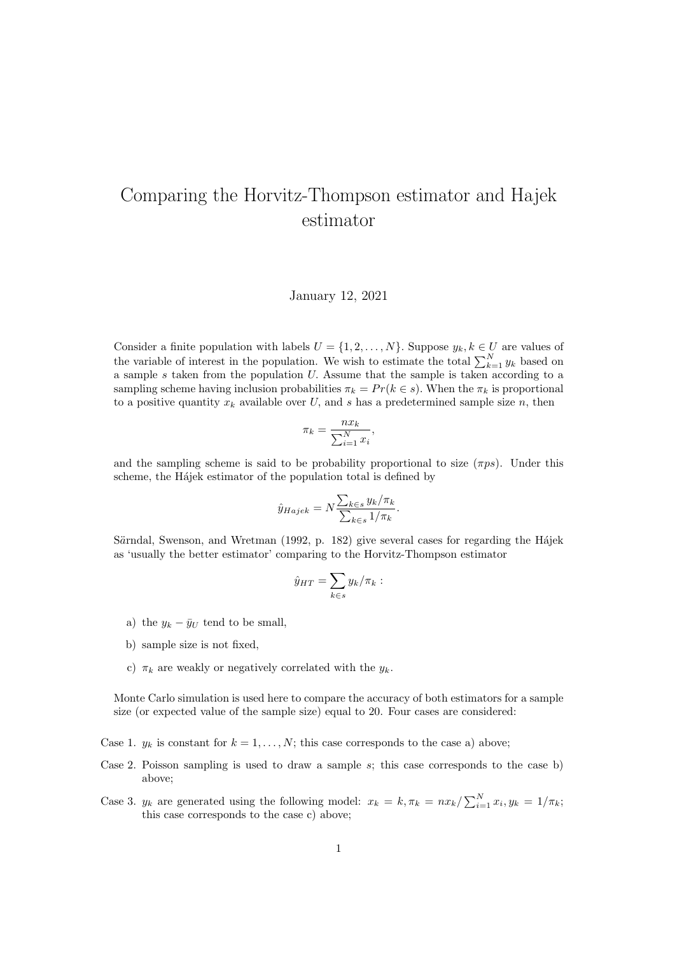## Comparing the Horvitz-Thompson estimator and Hajek estimator

January 12, 2021

Consider a finite population with labels  $U = \{1, 2, ..., N\}$ . Suppose  $y_k, k \in U$  are values of the variable of interest in the population. We wish to estimate the total  $\sum_{k=1}^{N} y_k$  based on a sample  $s$  taken from the population  $U$ . Assume that the sample is taken according to a sampling scheme having inclusion probabilities  $\pi_k = Pr(k \in s)$ . When the  $\pi_k$  is proportional to a positive quantity  $x_k$  available over U, and s has a predetermined sample size n, then

$$
\pi_k = \frac{n x_k}{\sum_{i=1}^N x_i},
$$

and the sampling scheme is said to be probability proportional to size  $(\pi ps)$ . Under this scheme, the Hájek estimator of the population total is defined by

$$
\hat{y}_{Hajek} = N \frac{\sum_{k \in s} y_k / \pi_k}{\sum_{k \in s} 1 / \pi_k}.
$$

Särndal, Swenson, and Wretman (1992, p. 182) give several cases for regarding the Hájek as 'usually the better estimator' comparing to the Horvitz-Thompson estimator

$$
\hat{y}_{HT} = \sum_{k \in s} y_k / \pi_k :
$$

- a) the  $y_k \bar{y}_U$  tend to be small,
- b) sample size is not fixed,
- c)  $\pi_k$  are weakly or negatively correlated with the  $y_k$ .

Monte Carlo simulation is used here to compare the accuracy of both estimators for a sample size (or expected value of the sample size) equal to 20. Four cases are considered:

Case 1.  $y_k$  is constant for  $k = 1, ..., N$ ; this case corresponds to the case a) above;

- Case 2. Poisson sampling is used to draw a sample  $s$ ; this case corresponds to the case b) above;
- Case 3.  $y_k$  are generated using the following model:  $x_k = k, \pi_k = \frac{n x_k}{\sum_{i=1}^{N} x_i, y_k = \frac{1}{\pi_k}}$ this case corresponds to the case c) above;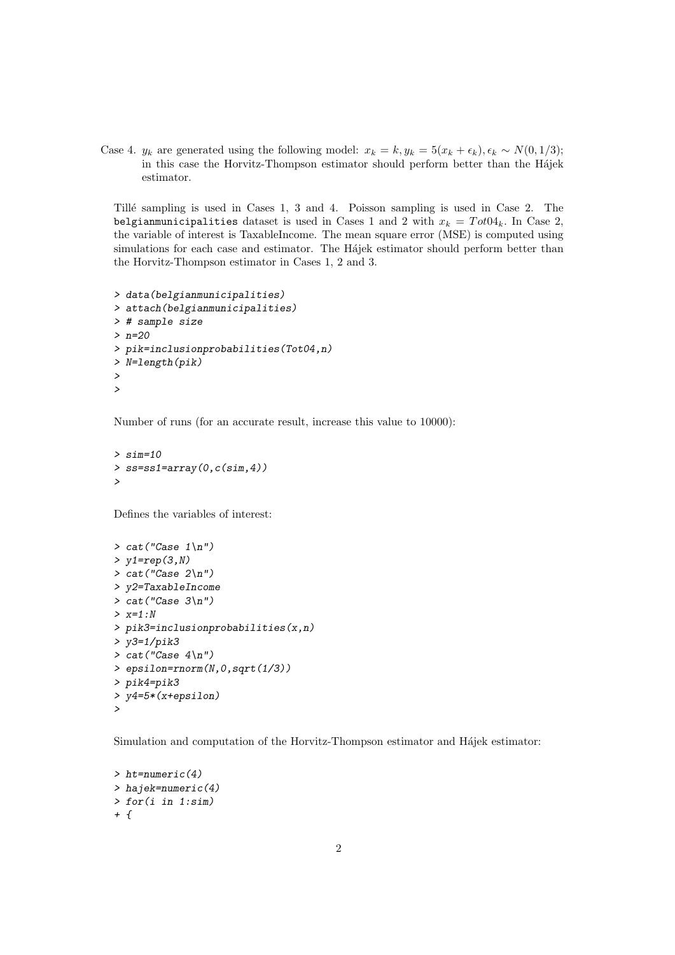Case 4.  $y_k$  are generated using the following model:  $x_k = k$ ,  $y_k = 5(x_k + \epsilon_k)$ ,  $\epsilon_k \sim N(0, 1/3)$ ; in this case the Horvitz-Thompson estimator should perform better than the Hájek estimator.

Tillé sampling is used in Cases 1, 3 and 4. Poisson sampling is used in Case 2. The belgianmunicipalities dataset is used in Cases 1 and 2 with  $x_k = T \sigma t 04_k$ . In Case 2, the variable of interest is TaxableIncome. The mean square error (MSE) is computed using simulations for each case and estimator. The Hájek estimator should perform better than the Horvitz-Thompson estimator in Cases 1, 2 and 3.

```
> data(belgianmunicipalities)
> attach(belgianmunicipalities)
> # sample size
> n=20
> pik=inclusionprobabilities(Tot04,n)
> N=length(pik)
>
>
```
Number of runs (for an accurate result, increase this value to 10000):

```
> sim=10
> ss=ss1=array(0,c(sim,4))
>
```
Defines the variables of interest:

```
> cat("Case 1\,n")> y1=rep(3,N)
> cat("Case 2\n")
> y2=TaxableIncome
> cat("Case 3\n")
> x=1:N
> pik3=inclusionprobabilities(x,n)
> y3=1/pik3
> cat("Case 4\nu")> epsilon=rnorm(N,0,sqrt(1/3))
> pik4=pik3
> y4=5*(x+epsilon)
\ddot{\phantom{1}}
```
Simulation and computation of the Horvitz-Thompson estimator and Hájek estimator:

```
> ht=numeric(4)
> hajek=numeric(4)
> for(i in 1:sim)
+ f
```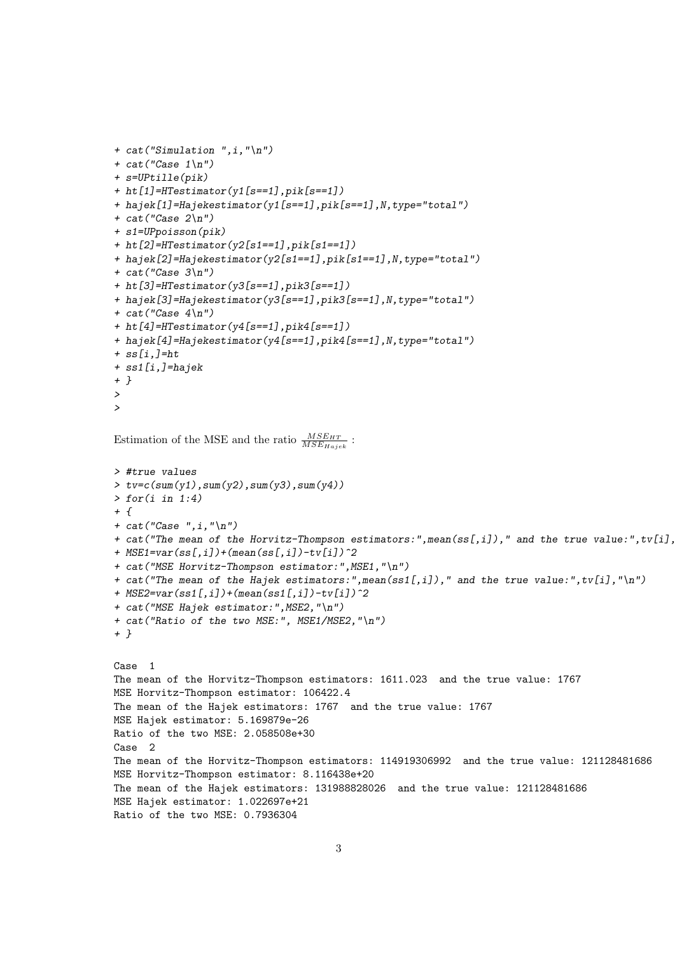```
+ cat("Simulation ",i,"\n")
+ cat("Case 1\,n")+ s=UPtille(pik)
+ ht[1]=HTestimator(y1[s==1],pik[s==1])
+ hajek[1]=Hajekestimator(y1[s==1],pik[s==1],N,type="total")
+ cat("Case 2\n')+ s1=UPpoisson(pik)
+ ht[2]=HTestimator(y2[s1==1],pik[s1==1])
+ hajek[2]=Hajekestimator(y2[s1==1],pik[s1==1],N,type="total")
+ cat("Case 3\n\cdot")
+ ht[3]=HTestimator(y3[s==1],pik3[s==1])
+ hajek[3]=Hajekestimator(y3[s==1],pik3[s==1],N,type="total")
+ cat("Case 4\n")+ ht[4]=HTestimator(y4[s==1],pik4[s==1])
+ hajek[4]=Hajekestimator(y4[s==1],pik4[s==1],N,type="total")
+ ss[i,]=ht
+ ss1[i,]=hajek
+ }
>
\rightarrowEstimation of the MSE and the ratio \frac{MSE_{HT}}{MSE_{Hajek}}:
> #true values
> tv=c(sum(y1),sum(y2),sum(y3),sum(y4))
\gt for(i in 1:4)
+ f+ cat("Case " , i, " \n'')+ cat("The mean of the Horvitz-Thompson estimators:",mean(ss[,i])," and the true value:",tv[i],
+ MSE1=var(ss[,i])+(mean(ss[,i])-tv[i])^2+ cat("MSE Horvitz-Thompson estimator:", MSE1,"\n")
+ cat("The mean of the Hajek estimators:",mean(ss1[,i])," and the true value:",tv[i],"\n")
+ MSE2=var(ss1[,i])+(mean(ss1[,i])-tv[i])^2
+ cat("MSE Hajek estimator:",MSE2,"\n")
+ cat("Ratio of the two MSE:", MSE1/MSE2,"\n")
+ }
Case 1
The mean of the Horvitz-Thompson estimators: 1611.023 and the true value: 1767
MSE Horvitz-Thompson estimator: 106422.4
The mean of the Hajek estimators: 1767 and the true value: 1767
MSE Hajek estimator: 5.169879e-26
Ratio of the two MSE: 2.058508e+30
Case 2
The mean of the Horvitz-Thompson estimators: 114919306992 and the true value: 121128481686
MSE Horvitz-Thompson estimator: 8.116438e+20
The mean of the Hajek estimators: 131988828026 and the true value: 121128481686
MSE Hajek estimator: 1.022697e+21
Ratio of the two MSE: 0.7936304
```